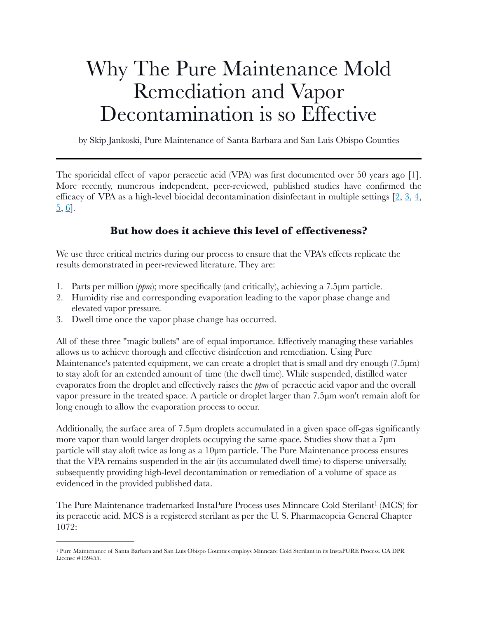## Why The Pure Maintenance Mold Remediation and Vapor Decontamination is so Effective

by Skip Jankoski, Pure Maintenance of Santa Barbara and San Luis Obispo Counties

The sporicidal effect of vapor peracetic acid (VPA) was first documented over 50 years ago [[1\]](https://www.ncbi.nlm.nih.gov/pmc/articles/PMC547760/). More recently, numerous independent, peer-reviewed, published studies have confirmed the efficacy of VPA as a high-level biocidal decontamination disinfectant in multiple settings  $[2, 3, 4, 4]$  $[2, 3, 4, 4]$  $[2, 3, 4, 4]$  $[2, 3, 4, 4]$  $[2, 3, 4, 4]$  $[2, 3, 4, 4]$  $[5, 6]$  $[5, 6]$  $[5, 6]$  $[5, 6]$  $[5, 6]$ .

## **But how does it achieve this level of effectiveness?**

We use three critical metrics during our process to ensure that the VPA's effects replicate the results demonstrated in peer-reviewed literature. They are:

- 1. Parts per million (*ppm*); more specifically (and critically), achieving a 7.5μm particle.
- 2. Humidity rise and corresponding evaporation leading to the vapor phase change and elevated vapor pressure.
- 3. Dwell time once the vapor phase change has occurred.

All of these three "magic bullets" are of equal importance. Effectively managing these variables allows us to achieve thorough and effective disinfection and remediation. Using Pure Maintenance's patented equipment, we can create a droplet that is small and dry enough (7.5µm) to stay aloft for an extended amount of time (the dwell time). While suspended, distilled water evaporates from the droplet and effectively raises the *ppm* of peracetic acid vapor and the overall vapor pressure in the treated space. A particle or droplet larger than 7.5μm won't remain aloft for long enough to allow the evaporation process to occur.

Additionally, the surface area of 7.5 pm droplets accumulated in a given space off-gas significantly more vapor than would larger droplets occupying the same space. Studies show that a  $7 \mu m$ particle will stay aloft twice as long as a 10μm particle. The Pure Maintenance process ensures that the VPA remains suspended in the air (its accumulated dwell time) to disperse universally, subsequently providing high-level decontamination or remediation of a volume of space as evidenced in the provided published data.

<span id="page-0-1"></span>ThePure Maintenance trademarked InstaPure Process uses Minncare Cold Sterilant<sup>[1](#page-0-0)</sup> (MCS) for its peracetic acid. MCS is a registered sterilant as per the U. S. Pharmacopeia General Chapter 1072:

<span id="page-0-0"></span><sup>&</sup>lt;sup>1</sup>Pure Maintenance of Santa Barbara and San Luis Obispo Counties employs Minncare Cold Sterilant in its InstaPURE Process. CA DPR License #159455.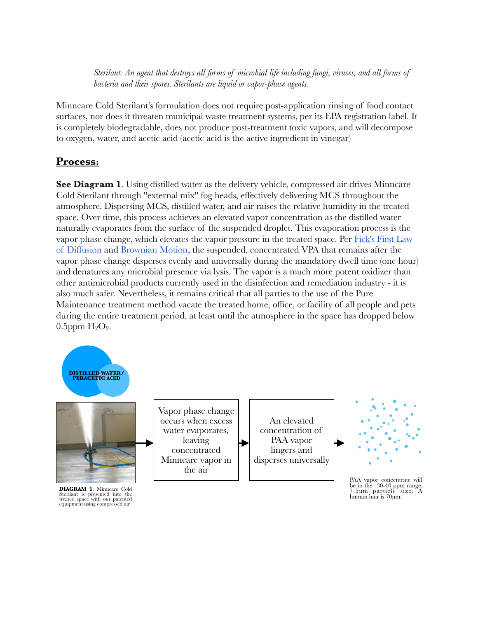*Sterilant: An agent that destroys all forms of microbial life including fungi, viruses, and all forms of bacteria and their spores. Sterilants are liquid or vapor-phase agents.*

Minncare Cold Sterilant's formulation does not require post-application rinsing of food contact surfaces, nor does it threaten municipal waste treatment systems, per its EPA registration label. It is completely biodegradable, does not produce post-treatment toxic vapors, and will decompose to oxygen, water, and acetic acid (acetic acid is the active ingredient in vinegar)

## **Process:**

**See Diagram 1**. Using distilled water as the delivery vehicle, compressed air drives Minncare Cold Sterilant through "external mix" fog heads, effectively delivering MCS throughout the atmosphere. Dispersing MCS, distilled water, and air raises the relative humidity in the treated space. Over time, this process achieves an elevated vapor concentration as the distilled water naturally evaporates from the surface of the suspended droplet. This evaporation process is the vapor phase change, which elevates the vapor pressure in the treated space. Per Fick's First Law [of Diffusion](https://en.wikipedia.org/wiki/Fick%27s_laws_of_diffusion) and [Brownian Motion,](https://en.wikipedia.org/wiki/Brownian_motion#:~:text=Brownian%20motion%2C%20or%20pedesis%20(from,a%20liquid%20or%20a%20gas).&text=This%20explanation%20of%20Brownian%20motion,by%20Jean%20Perrin%20in%201908.) the suspended, concentrated VPA that remains after the vapor phase change disperses evenly and universally during the mandatory dwell time (one hour) and denatures any microbial presence via lysis. The vapor is a much more potent oxidizer than other antimicrobial products currently used in the disinfection and remediation industry - it is also much safer. Nevertheless, it remains critical that all parties to the use of the Pure Maintenance treatment method vacate the treated home, office, or facility of all people and pets during the entire treatment period, at least until the atmosphere in the space has dropped below  $0.5$ ppm  $H<sub>2</sub>O<sub>2</sub>$ .





**DIAGRAM 1**: Minncare Cold Sterilant is presented into the treated space with our patented equipment using compressed air.

Vapor phase change occurs when excess water evaporates, leaving concentrated Minncare vapor in the air

An elevated concentration of PAA vapor lingers and disperses universally



PAA vapor concentrate will be in the 30-40 ppm range. 7.5μm particle size. A human hair is 70μm.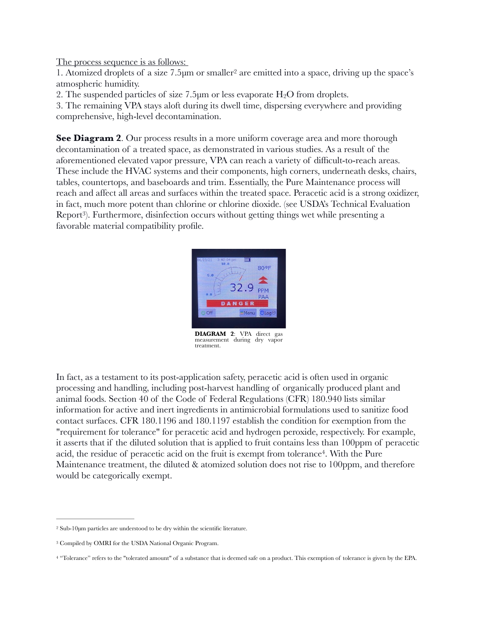The process sequence is as follows:

<span id="page-2-3"></span>1.Atomized droplets of a size  $7.5\mu$ m or smaller<sup>[2](#page-2-0)</sup> are emitted into a space, driving up the space's atmospheric humidity.

2. The suspended particles of size 7.5 $\mu$ m or less evaporate H<sub>2</sub>O from droplets.

3. The remaining VPA stays aloft during its dwell time, dispersing everywhere and providing comprehensive, high-level decontamination.

<span id="page-2-4"></span>**See Diagram 2.** Our process results in a more uniform coverage area and more thorough decontamination of a treated space, as demonstrated in various studies. As a result of the aforementioned elevated vapor pressure, VPA can reach a variety of difficult-to-reach areas. These include the HVAC systems and their components, high corners, underneath desks, chairs, tables, countertops, and baseboards and trim. Essentially, the Pure Maintenance process will reach and affect all areas and surfaces within the treated space. Peracetic acid is a strong oxidizer, in fact, much more potent than chlorine or chlorine dioxide. (see USDA's Technical Evaluation Report<sup>3</sup>[\)](#page-2-1). Furthermore, disinfection occurs without getting things wet while presenting a favorable material compatibility profile.

<span id="page-2-5"></span>

**DIAGRAM 2**: VPA direct gas measurement during dry vapor treatment.

In fact, as a testament to its post-application safety, peracetic acid is often used in organic processing and handling, including post-harvest handling of organically produced plant and animal foods. Section 40 of the Code of Federal Regulations (CFR) 180.940 lists similar information for active and inert ingredients in antimicrobial formulations used to sanitize food contact surfaces. CFR 180.1196 and 180.1197 establish the condition for exemption from the "requirement for tolerance" for peracetic acid and hydrogen peroxide, respectively. For example, it asserts that if the diluted solution that is applied to fruit contains less than 100ppm of peracetic acid, the residue of peracetic acid on the fruit is exempt from tolerance<sup>4</sup>[.](#page-2-2) With the Pure Maintenance treatment, the diluted & atomized solution does not rise to 100ppm, and therefore would be categorically exempt.

<span id="page-2-0"></span> $2$  Sub-10 $\mu$ m particles are understood to be dry within the scientific literature.

<span id="page-2-1"></span><sup>&</sup>lt;sup>[3](#page-2-4)</sup> Compiled by OMRI for the USDA National Organic Program.

<span id="page-2-2"></span><sup>&</sup>lt;sup>[4](#page-2-5)</sup> "Tolerance" refers to the "tolerated amount" of a substance that is deemed safe on a product. This exemption of tolerance is given by the EPA.